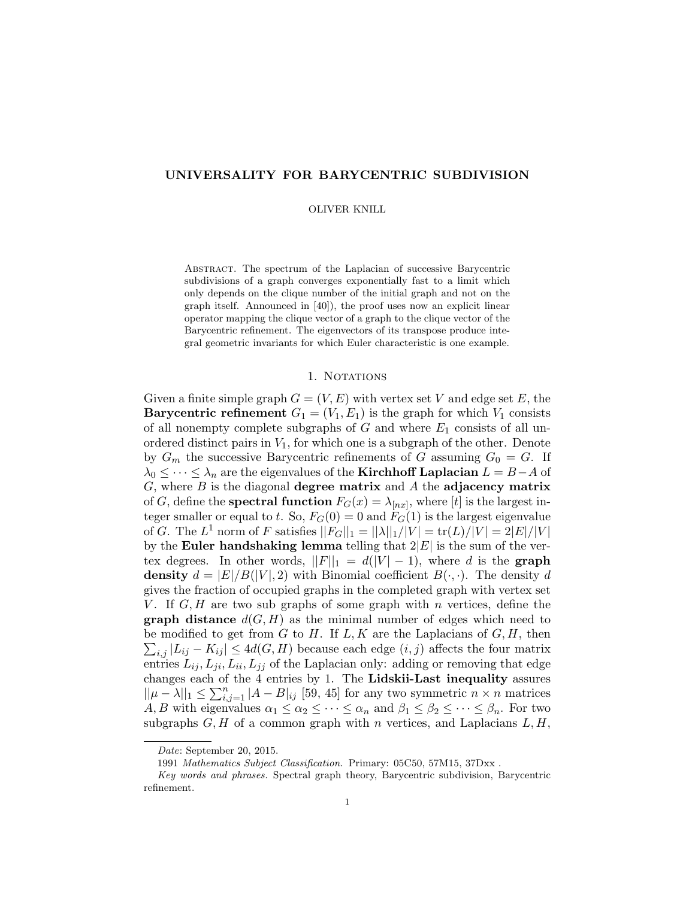# UNIVERSALITY FOR BARYCENTRIC SUBDIVISION

#### OLIVER KNILL

Abstract. The spectrum of the Laplacian of successive Barycentric subdivisions of a graph converges exponentially fast to a limit which only depends on the clique number of the initial graph and not on the graph itself. Announced in [40]), the proof uses now an explicit linear operator mapping the clique vector of a graph to the clique vector of the Barycentric refinement. The eigenvectors of its transpose produce integral geometric invariants for which Euler characteristic is one example.

## 1. Notations

Given a finite simple graph  $G = (V, E)$  with vertex set V and edge set E, the **Barycentric refinement**  $G_1 = (V_1, E_1)$  is the graph for which  $V_1$  consists of all nonempty complete subgraphs of  $G$  and where  $E_1$  consists of all unordered distinct pairs in  $V_1$ , for which one is a subgraph of the other. Denote by  $G_m$  the successive Barycentric refinements of G assuming  $G_0 = G$ . If  $\lambda_0 \leq \cdots \leq \lambda_n$  are the eigenvalues of the **Kirchhoff Laplacian**  $L = B - A$  of  $G$ , where  $B$  is the diagonal **degree matrix** and  $A$  the **adjacency matrix** of G, define the **spectral function**  $F_G(x) = \lambda_{[nx]}$ , where [t] is the largest integer smaller or equal to t. So,  $F_G(0) = 0$  and  $F_G(1)$  is the largest eigenvalue of G. The  $L^1$  norm of F satisfies  $||F_G||_1 = ||\lambda||_1/|V| = \text{tr}(L)/|V| = 2|E|/|V|$ by the Euler handshaking lemma telling that  $2|E|$  is the sum of the vertex degrees. In other words,  $||F||_1 = d(|V| - 1)$ , where d is the graph density  $d = |E|/B(|V|, 2)$  with Binomial coefficient  $B(\cdot, \cdot)$ . The density d gives the fraction of occupied graphs in the completed graph with vertex set V. If  $G, H$  are two sub graphs of some graph with n vertices, define the **graph distance**  $d(G, H)$  as the minimal number of edges which need to  $\sum_{i,j} |L_{ij} - K_{ij}| \leq 4d(G, H)$  because each edge  $(i, j)$  affects the four matrix be modified to get from  $G$  to  $H$ . If  $L, K$  are the Laplacians of  $G, H$ , then entries  $L_{ij}, L_{ji}, L_{ii}, L_{jj}$  of the Laplacian only: adding or removing that edge changes each of the 4 entries by 1. The Lidskii-Last inequality assures  $||\mu - \lambda||_1 \leq \sum_{i,j=1}^n |A - B|_{ij}$  [59, 45] for any two symmetric  $n \times n$  matrices A, B with eigenvalues  $\alpha_1 \leq \alpha_2 \leq \cdots \leq \alpha_n$  and  $\beta_1 \leq \beta_2 \leq \cdots \leq \beta_n$ . For two subgraphs  $G, H$  of a common graph with n vertices, and Laplacians  $L, H$ ,

Date: September 20, 2015.

<sup>1991</sup> Mathematics Subject Classification. Primary: 05C50, 57M15, 37Dxx .

Key words and phrases. Spectral graph theory, Barycentric subdivision, Barycentric refinement.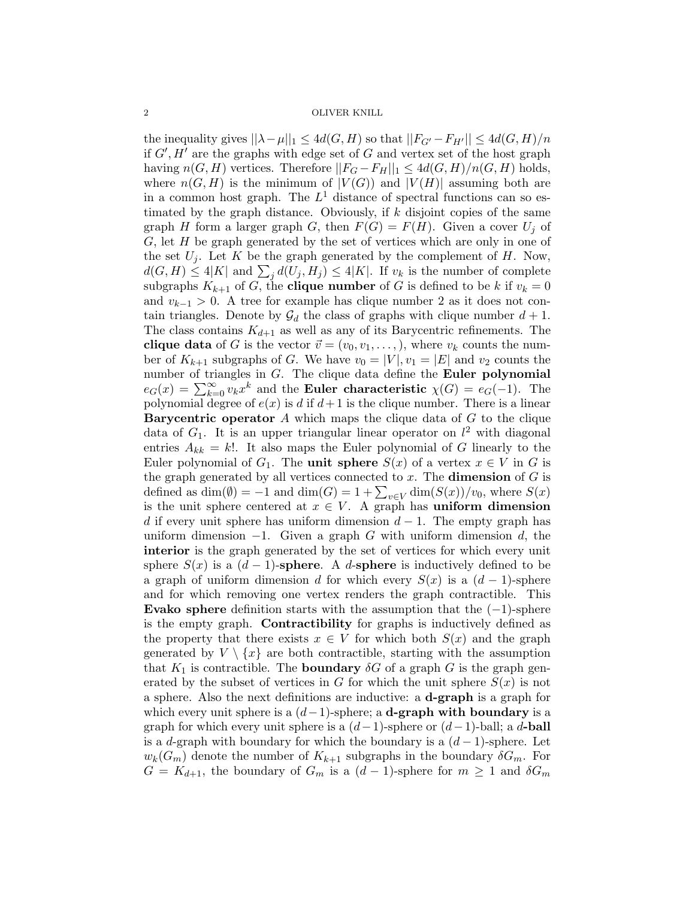the inequality gives  $||\lambda - \mu||_1 \leq 4d(G, H)$  so that  $||F_{G'} - F_{H'}|| \leq 4d(G, H)/n$ if  $G', H'$  are the graphs with edge set of G and vertex set of the host graph having  $n(G, H)$  vertices. Therefore  $||F_G - F_H||_1 \leq 4d(G, H)/n(G, H)$  holds, where  $n(G, H)$  is the minimum of  $|V(G)|$  and  $|V(H)|$  assuming both are in a common host graph. The  $L^1$  distance of spectral functions can so estimated by the graph distance. Obviously, if  $k$  disjoint copies of the same graph H form a larger graph G, then  $F(G) = F(H)$ . Given a cover  $U_j$  of  $G$ , let  $H$  be graph generated by the set of vertices which are only in one of the set  $U_j$ . Let K be the graph generated by the complement of H. Now,  $d(G, H) \leq 4|K|$  and  $\sum_j d(U_j, H_j) \leq 4|K|$ . If  $v_k$  is the number of complete subgraphs  $K_{k+1}$  of G, the **clique number** of G is defined to be k if  $v_k = 0$ and  $v_{k-1} > 0$ . A tree for example has clique number 2 as it does not contain triangles. Denote by  $\mathcal{G}_d$  the class of graphs with clique number  $d+1$ . The class contains  $K_{d+1}$  as well as any of its Barycentric refinements. The **clique data** of G is the vector  $\vec{v} = (v_0, v_1, \dots, v_n)$ , where  $v_k$  counts the number of  $K_{k+1}$  subgraphs of G. We have  $v_0 = |V|, v_1 = |E|$  and  $v_2$  counts the number of triangles in  $G$ . The clique data define the **Euler polynomial**  $e_G(x) = \sum_{k=0}^{\infty} v_k x^k$  and the **Euler characteristic**  $\chi(G) = e_G(-1)$ . The polynomial degree of  $e(x)$  is d if  $d+1$  is the clique number. There is a linear **Barycentric operator**  $A$  which maps the clique data of  $G$  to the clique data of  $G_1$ . It is an upper triangular linear operator on  $l^2$  with diagonal entries  $A_{kk} = k!$ . It also maps the Euler polynomial of G linearly to the Euler polynomial of  $G_1$ . The **unit sphere**  $S(x)$  of a vertex  $x \in V$  in G is the graph generated by all vertices connected to  $x$ . The **dimension** of  $G$  is defined as  $\dim(\emptyset) = -1$  and  $\dim(G) = 1 + \sum_{v \in V} \dim(S(x))/v_0$ , where  $S(x)$ is the unit sphere centered at  $x \in V$ . A graph has **uniform dimension** d if every unit sphere has uniform dimension  $d-1$ . The empty graph has uniform dimension  $-1$ . Given a graph G with uniform dimension d, the interior is the graph generated by the set of vertices for which every unit sphere  $S(x)$  is a  $(d-1)$ -sphere. A d-sphere is inductively defined to be a graph of uniform dimension d for which every  $S(x)$  is a  $(d-1)$ -sphere and for which removing one vertex renders the graph contractible. This Evako sphere definition starts with the assumption that the  $(-1)$ -sphere is the empty graph. Contractibility for graphs is inductively defined as the property that there exists  $x \in V$  for which both  $S(x)$  and the graph generated by  $V \setminus \{x\}$  are both contractible, starting with the assumption that  $K_1$  is contractible. The **boundary**  $\delta G$  of a graph G is the graph generated by the subset of vertices in G for which the unit sphere  $S(x)$  is not a sphere. Also the next definitions are inductive: a d-graph is a graph for which every unit sphere is a  $(d-1)$ -sphere; a **d-graph with boundary** is a graph for which every unit sphere is a  $(d-1)$ -sphere or  $(d-1)$ -ball; a d-**ball** is a d-graph with boundary for which the boundary is a  $(d-1)$ -sphere. Let  $w_k(G_m)$  denote the number of  $K_{k+1}$  subgraphs in the boundary  $\delta G_m$ . For  $G = K_{d+1}$ , the boundary of  $G_m$  is a  $(d-1)$ -sphere for  $m \geq 1$  and  $\delta G_m$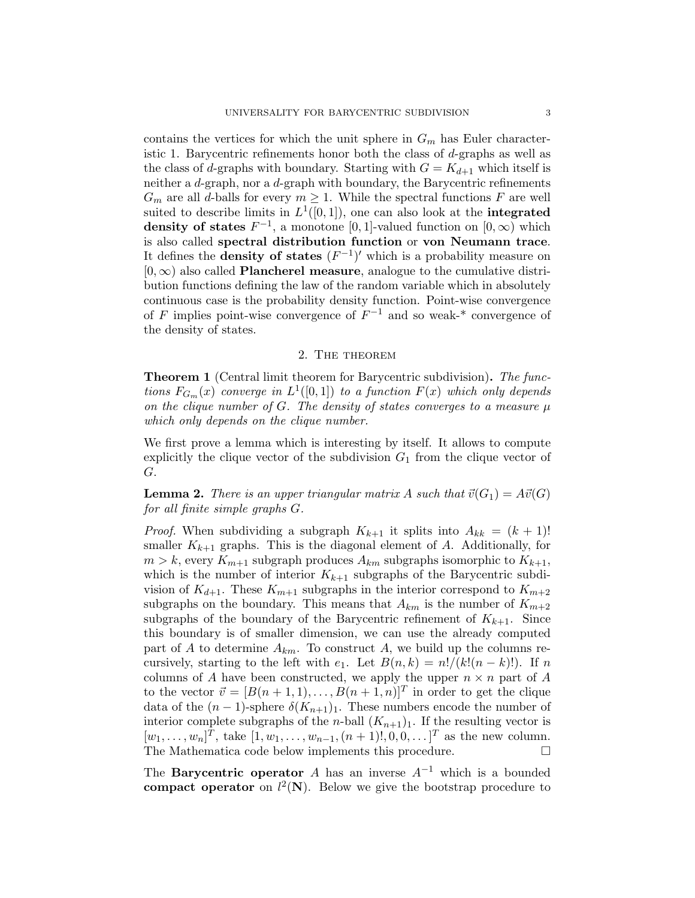contains the vertices for which the unit sphere in  $G_m$  has Euler characteristic 1. Barycentric refinements honor both the class of d-graphs as well as the class of d-graphs with boundary. Starting with  $G = K_{d+1}$  which itself is neither a d-graph, nor a d-graph with boundary, the Barycentric refinements  $G_m$  are all d-balls for every  $m \geq 1$ . While the spectral functions F are well suited to describe limits in  $L^1([0,1])$ , one can also look at the **integrated** density of states  $F^{-1}$ , a monotone [0, 1]-valued function on [0,  $\infty$ ) which is also called spectral distribution function or von Neumann trace. It defines the **density of states**  $(F^{-1})'$  which is a probability measure on  $[0, \infty)$  also called **Plancherel measure**, analogue to the cumulative distribution functions defining the law of the random variable which in absolutely continuous case is the probability density function. Point-wise convergence of F implies point-wise convergence of  $F^{-1}$  and so weak-\* convergence of the density of states.

## 2. The theorem

Theorem 1 (Central limit theorem for Barycentric subdivision). The functions  $F_{G_m}(x)$  converge in  $L^1([0,1])$  to a function  $F(x)$  which only depends on the clique number of  $G$ . The density of states converges to a measure  $\mu$ which only depends on the clique number.

We first prove a lemma which is interesting by itself. It allows to compute explicitly the clique vector of the subdivision  $G_1$  from the clique vector of G.

**Lemma 2.** There is an upper triangular matrix A such that  $\vec{v}(G_1) = A\vec{v}(G)$ for all finite simple graphs G.

*Proof.* When subdividing a subgraph  $K_{k+1}$  it splits into  $A_{kk} = (k+1)!$ smaller  $K_{k+1}$  graphs. This is the diagonal element of A. Additionally, for  $m > k$ , every  $K_{m+1}$  subgraph produces  $A_{km}$  subgraphs isomorphic to  $K_{k+1}$ , which is the number of interior  $K_{k+1}$  subgraphs of the Barycentric subdivision of  $K_{d+1}$ . These  $K_{m+1}$  subgraphs in the interior correspond to  $K_{m+2}$ subgraphs on the boundary. This means that  $A_{km}$  is the number of  $K_{m+2}$ subgraphs of the boundary of the Barycentric refinement of  $K_{k+1}$ . Since this boundary is of smaller dimension, we can use the already computed part of A to determine  $A_{km}$ . To construct A, we build up the columns recursively, starting to the left with  $e_1$ . Let  $B(n, k) = n!/(k!(n-k)!)$ . If n columns of A have been constructed, we apply the upper  $n \times n$  part of A to the vector  $\vec{v} = [B(n+1, 1), \dots, B(n+1, n)]^T$  in order to get the clique data of the  $(n-1)$ -sphere  $\delta(K_{n+1})_1$ . These numbers encode the number of interior complete subgraphs of the *n*-ball  $(K_{n+1})$ . If the resulting vector is  $[w_1, \ldots, w_n]^T$ , take  $[1, w_1, \ldots, w_{n-1}, (n+1)!, 0, 0, \ldots]^T$  as the new column. The Mathematica code below implements this procedure.

The **Barycentric operator** A has an inverse  $A^{-1}$  which is a bounded compact operator on  $l^2(N)$ . Below we give the bootstrap procedure to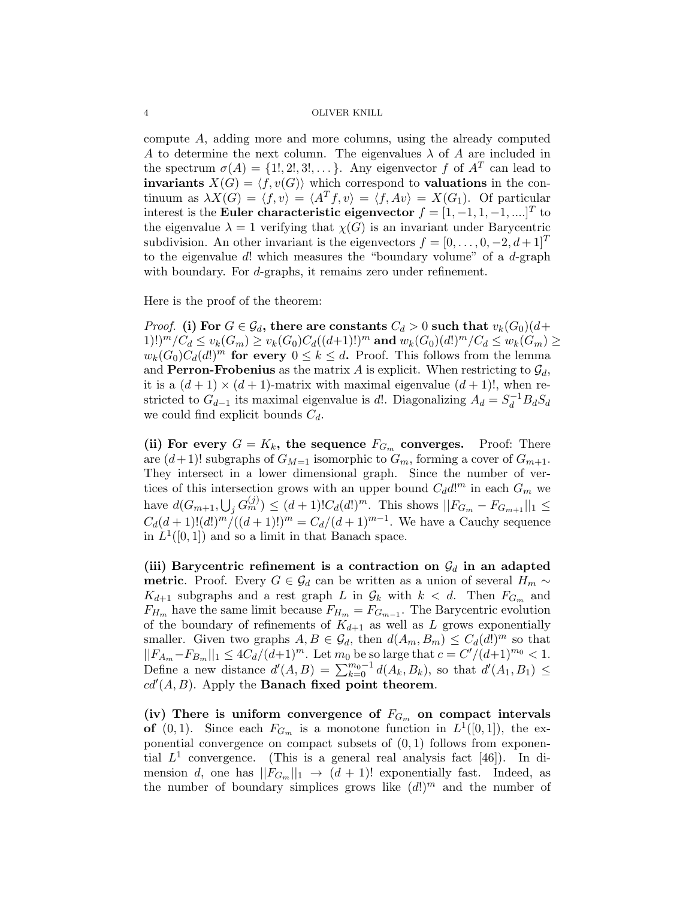compute A, adding more and more columns, using the already computed A to determine the next column. The eigenvalues  $\lambda$  of A are included in the spectrum  $\sigma(A) = \{1, 2, 3, \dots\}$ . Any eigenvector f of  $A<sup>T</sup>$  can lead to invariants  $X(G) = \langle f, v(G) \rangle$  which correspond to valuations in the continuum as  $\lambda X(G) = \langle f, v \rangle = \langle A^T f, v \rangle = \langle f, Av \rangle = X(G_1)$ . Of particular interest is the Euler characteristic eigenvector  $f = [1, -1, 1, -1, \dots]^T$  to the eigenvalue  $\lambda = 1$  verifying that  $\chi(G)$  is an invariant under Barycentric subdivision. An other invariant is the eigenvectors  $f = [0, \ldots, 0, -2, d+1]^T$ to the eigenvalue  $d!$  which measures the "boundary volume" of a  $d$ -graph with boundary. For *d*-graphs, it remains zero under refinement.

Here is the proof of the theorem:

*Proof.* (i) For  $G \in \mathcal{G}_d$ , there are constants  $C_d > 0$  such that  $v_k(G_0)(d+1)$ 1)!) ${}^m/C_d \le v_k(G_m) \ge v_k(G_0)C_d((d+1)!)^m$  and  $w_k(G_0)(d!)^m/C_d \le w_k(G_m) \ge$  $w_k(G_0)C_d(d!)^m$  for every  $0 \le k \le d$ . Proof. This follows from the lemma and **Perron-Frobenius** as the matrix A is explicit. When restricting to  $\mathcal{G}_d$ , it is a  $(d+1) \times (d+1)$ -matrix with maximal eigenvalue  $(d+1)!$ , when restricted to  $G_{d-1}$  its maximal eigenvalue is d!. Diagonalizing  $A_d = S_d^{-1} B_d S_d$ we could find explicit bounds  $C_d$ .

(ii) For every  $G = K_k$ , the sequence  $F_{G_m}$  converges. Proof: There are  $(d+1)!$  subgraphs of  $G_{M=1}$  isomorphic to  $G_m$ , forming a cover of  $G_{m+1}$ . They intersect in a lower dimensional graph. Since the number of vertices of this intersection grows with an upper bound  $C_d d!^m$  in each  $G_m$  we have  $d(G_{m+1}, \bigcup_j G_m^{(j)}) \leq (d+1)! C_d(d!)^m$ . This shows  $||F_{G_m} - F_{G_{m+1}}||_1 \leq$  $C_d(d+1)!(d!)^m/((d+1)!)^m = C_d/(d+1)^{m-1}$ . We have a Cauchy sequence in  $L^1([0,1])$  and so a limit in that Banach space.

(iii) Barycentric refinement is a contraction on  $\mathcal{G}_d$  in an adapted **metric.** Proof. Every  $G \in \mathcal{G}_d$  can be written as a union of several  $H_m \sim$  $K_{d+1}$  subgraphs and a rest graph L in  $\mathcal{G}_k$  with  $k < d$ . Then  $F_{G_m}$  and  $F_{H_m}$  have the same limit because  $F_{H_m} = F_{G_{m-1}}$ . The Barycentric evolution of the boundary of refinements of  $K_{d+1}$  as well as L grows exponentially smaller. Given two graphs  $A, B \in \mathcal{G}_d$ , then  $d(A_m, B_m) \leq C_d(d!)^m$  so that  $||F_{A_m} - F_{B_m}||_1 \leq 4C_d/(d+1)^m$ . Let  $m_0$  be so large that  $c = C'/(d+1)^{m_0} < 1$ . Define a new distance  $d'(A, B) = \sum_{k=0}^{m_0-1} d(A_k, B_k)$ , so that  $d'(A_1, B_1) \leq$  $cd'(A, B)$ . Apply the **Banach fixed point theorem.** 

(iv) There is uniform convergence of  $F_{G_m}$  on compact intervals of  $(0, 1)$ . Since each  $F_{G_m}$  is a monotone function in  $L^1([0, 1])$ , the exponential convergence on compact subsets of  $(0, 1)$  follows from exponential  $L^1$  convergence. (This is a general real analysis fact [46]). In dimension d, one has  $||F_{G_m}||_1 \rightarrow (d+1)!$  exponentially fast. Indeed, as the number of boundary simplices grows like  $(d!)^m$  and the number of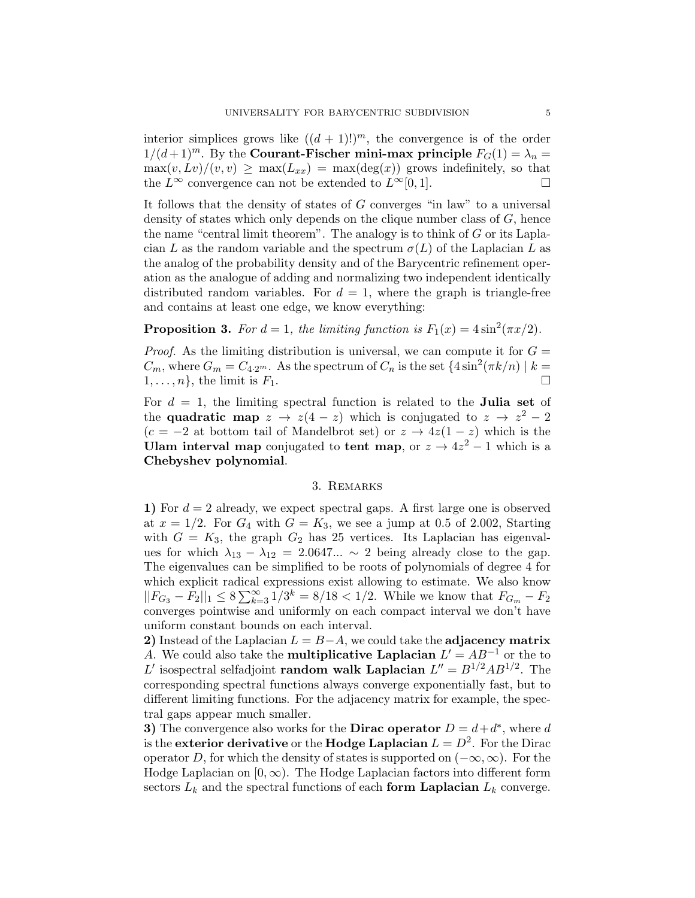interior simplices grows like  $((d + 1)!)^m$ , the convergence is of the order  $1/(d+1)^m$ . By the **Courant-Fischer mini-max principle**  $F_G(1) = \lambda_n =$  $\max(v, Lv)/(v, v) \ge \max(L_{xx}) = \max(\deg(x))$  grows indefinitely, so that the  $L^{\infty}$  convergence can not be extended to  $L^{\infty}[0, 1]$ .

It follows that the density of states of  $G$  converges "in law" to a universal density of states which only depends on the clique number class of  $G$ , hence the name "central limit theorem". The analogy is to think of  $G$  or its Laplacian L as the random variable and the spectrum  $\sigma(L)$  of the Laplacian L as the analog of the probability density and of the Barycentric refinement operation as the analogue of adding and normalizing two independent identically distributed random variables. For  $d = 1$ , where the graph is triangle-free and contains at least one edge, we know everything:

**Proposition 3.** For  $d = 1$ , the limiting function is  $F_1(x) = 4 \sin^2(\pi x/2)$ .

*Proof.* As the limiting distribution is universal, we can compute it for  $G =$  $C_m$ , where  $G_m = C_{4\cdot 2^m}$ . As the spectrum of  $C_n$  is the set  $\{4\sin^2(\pi k/n) \mid k =$  $1, \ldots, n$ , the limit is  $F_1$ .

For  $d = 1$ , the limiting spectral function is related to the **Julia set** of the quadratic map  $z \to z(4-z)$  which is conjugated to  $z \to z^2 - 2$  $(c = -2$  at bottom tail of Mandelbrot set) or  $z \rightarrow 4z(1-z)$  which is the Ulam interval map conjugated to tent map, or  $z \to 4z^2 - 1$  which is a Chebyshev polynomial.

## 3. Remarks

1) For  $d = 2$  already, we expect spectral gaps. A first large one is observed at  $x = 1/2$ . For  $G_4$  with  $G = K_3$ , we see a jump at 0.5 of 2.002, Starting with  $G = K_3$ , the graph  $G_2$  has 25 vertices. Its Laplacian has eigenvalues for which  $\lambda_{13} - \lambda_{12} = 2.0647... \sim 2$  being already close to the gap. The eigenvalues can be simplified to be roots of polynomials of degree 4 for which explicit radical expressions exist allowing to estimate. We also know  $||F_{G_3} - F_2||_1 \leq 8 \sum_{k=3}^{\infty} 1/3^k = 8/18 < 1/2$ . While we know that  $F_{G_m} - F_2$ converges pointwise and uniformly on each compact interval we don't have uniform constant bounds on each interval.

2) Instead of the Laplacian  $L = B - A$ , we could take the adjacency matrix A. We could also take the **multiplicative Laplacian**  $L' = AB^{-1}$  or the to L' isospectral selfadjoint **random walk Laplacian**  $L'' = B^{1/2}AB^{1/2}$ . The corresponding spectral functions always converge exponentially fast, but to different limiting functions. For the adjacency matrix for example, the spectral gaps appear much smaller.

3) The convergence also works for the **Dirac operator**  $D = d + d^*$ , where d is the exterior derivative or the Hodge Laplacian  $L = D^2$ . For the Dirac operator D, for which the density of states is supported on  $(-\infty, \infty)$ . For the Hodge Laplacian on  $[0, \infty)$ . The Hodge Laplacian factors into different form sectors  $L_k$  and the spectral functions of each form Laplacian  $L_k$  converge.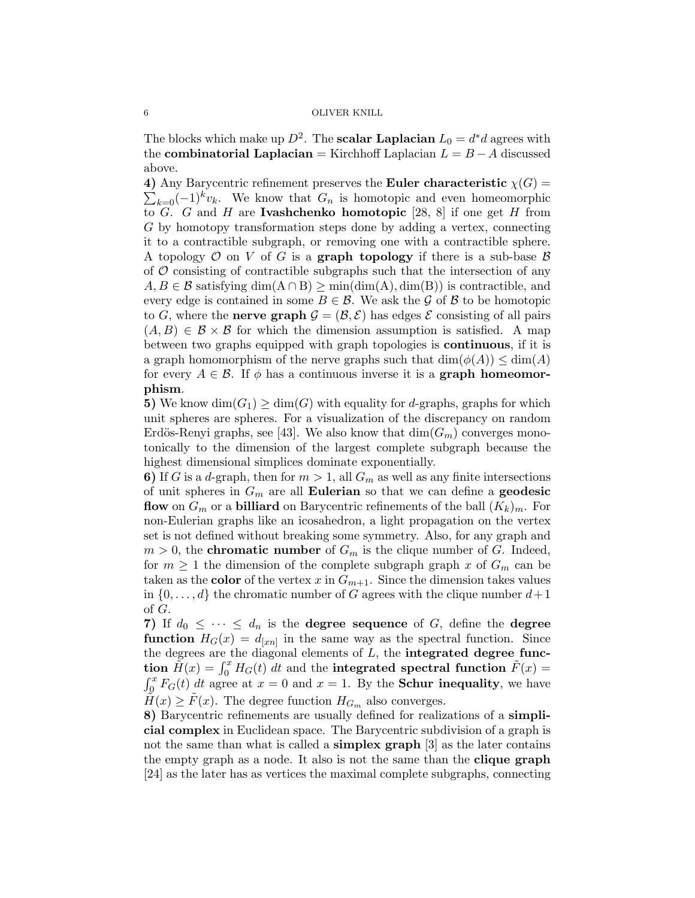The blocks which make up  $D^2$ . The **scalar Laplacian**  $L_0 = d^*d$  agrees with the **combinatorial Laplacian** = Kirchhoff Laplacian  $L = B - A$  discussed above.

4) Any Barycentric refinement preserves the Euler characteristic  $\chi(G)$  =  $\sum_{k=0}$  $(-1)^k v_k$ . We know that  $G_n$  is homotopic and even homeomorphic to G. G and H are **Ivashchenko homotopic** [28, 8] if one get H from G by homotopy transformation steps done by adding a vertex, connecting it to a contractible subgraph, or removing one with a contractible sphere. A topology  $\mathcal O$  on V of G is a **graph topology** if there is a sub-base  $\mathcal B$ of  $\mathcal O$  consisting of contractible subgraphs such that the intersection of any  $A, B \in \mathcal{B}$  satisfying  $\dim(A \cap B) \ge \min(\dim(A), \dim(B))$  is contractible, and every edge is contained in some  $B \in \mathcal{B}$ . We ask the G of B to be homotopic to G, where the **nerve graph**  $\mathcal{G} = (\mathcal{B}, \mathcal{E})$  has edges  $\mathcal{E}$  consisting of all pairs  $(A, B) \in \mathcal{B} \times \mathcal{B}$  for which the dimension assumption is satisfied. A map between two graphs equipped with graph topologies is continuous, if it is a graph homomorphism of the nerve graphs such that  $\dim(\phi(A)) \leq \dim(A)$ for every  $A \in \mathcal{B}$ . If  $\phi$  has a continuous inverse it is a **graph homeomor**phism.

5) We know  $\dim(G_1) \geq \dim(G)$  with equality for d-graphs, graphs for which unit spheres are spheres. For a visualization of the discrepancy on random Erdös-Renyi graphs, see [43]. We also know that  $\dim(G_m)$  converges monotonically to the dimension of the largest complete subgraph because the highest dimensional simplices dominate exponentially.

6) If G is a d-graph, then for  $m > 1$ , all  $G_m$  as well as any finite intersections of unit spheres in  $G_m$  are all **Eulerian** so that we can define a **geodesic** flow on  $G_m$  or a billiard on Barycentric refinements of the ball  $(K_k)_m$ . For non-Eulerian graphs like an icosahedron, a light propagation on the vertex set is not defined without breaking some symmetry. Also, for any graph and  $m > 0$ , the **chromatic number** of  $G_m$  is the clique number of G. Indeed, for  $m \geq 1$  the dimension of the complete subgraph graph x of  $G_m$  can be taken as the **color** of the vertex x in  $G_{m+1}$ . Since the dimension takes values in  $\{0,\ldots,d\}$  the chromatic number of G agrees with the clique number  $d+1$ of G.

7) If  $d_0 \leq \cdots \leq d_n$  is the **degree sequence** of G, define the **degree function**  $H_G(x) = d_{[xn]}$  in the same way as the spectral function. Since the degrees are the diagonal elements of  $L$ , the **integrated degree func**tion  $\tilde{H}(x) = \int_0^x H_G(t) dt$  and the integrated spectral function  $\tilde{F}(x) =$  $\int_0^x F_G(t) dt$  agree at  $x = 0$  and  $x = 1$ . By the **Schur inequality**, we have  $H(x) \geq F(x)$ . The degree function  $H_{G_m}$  also converges.

8) Barycentric refinements are usually defined for realizations of a simplicial complex in Euclidean space. The Barycentric subdivision of a graph is not the same than what is called a **simplex graph** [3] as the later contains the empty graph as a node. It also is not the same than the clique graph [24] as the later has as vertices the maximal complete subgraphs, connecting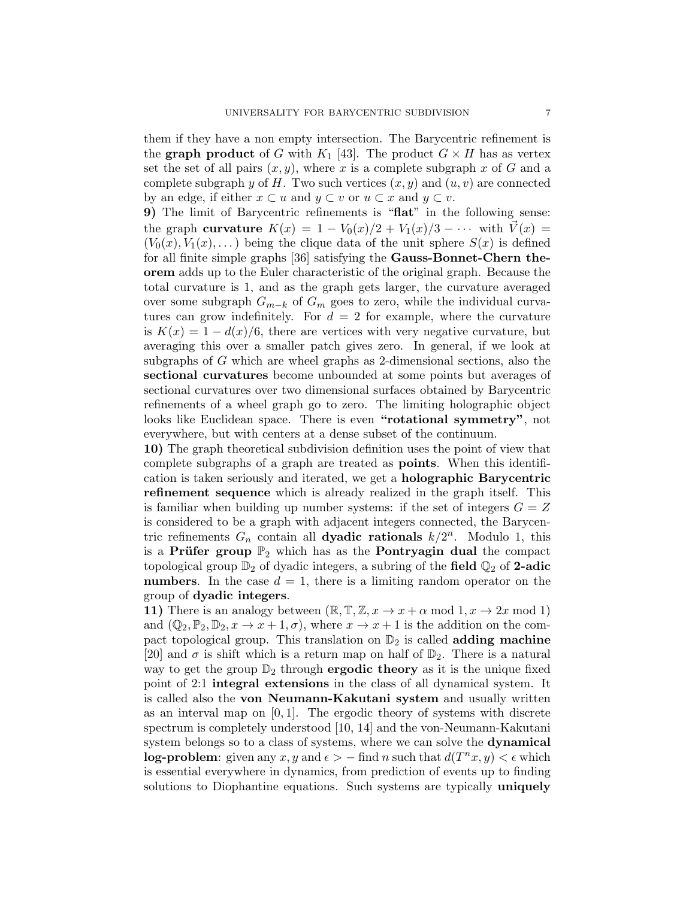them if they have a non empty intersection. The Barycentric refinement is the **graph product** of G with  $K_1$  [43]. The product  $G \times H$  has as vertex set the set of all pairs  $(x, y)$ , where x is a complete subgraph x of G and a complete subgraph y of H. Two such vertices  $(x, y)$  and  $(u, v)$  are connected by an edge, if either  $x \subset u$  and  $y \subset v$  or  $u \subset x$  and  $y \subset v$ .

9) The limit of Barycentric refinements is "flat" in the following sense: the graph curvature  $K(x) = 1 - V_0(x)/2 + V_1(x)/3 - \cdots$  with  $V(x) =$  $(V_0(x), V_1(x), ...)$  being the clique data of the unit sphere  $S(x)$  is defined for all finite simple graphs [36] satisfying the Gauss-Bonnet-Chern theorem adds up to the Euler characteristic of the original graph. Because the total curvature is 1, and as the graph gets larger, the curvature averaged over some subgraph  $G_{m-k}$  of  $G_m$  goes to zero, while the individual curvatures can grow indefinitely. For  $d = 2$  for example, where the curvature is  $K(x) = 1 - d(x)/6$ , there are vertices with very negative curvature, but averaging this over a smaller patch gives zero. In general, if we look at subgraphs of G which are wheel graphs as 2-dimensional sections, also the sectional curvatures become unbounded at some points but averages of sectional curvatures over two dimensional surfaces obtained by Barycentric refinements of a wheel graph go to zero. The limiting holographic object looks like Euclidean space. There is even "rotational symmetry", not everywhere, but with centers at a dense subset of the continuum.

10) The graph theoretical subdivision definition uses the point of view that complete subgraphs of a graph are treated as points. When this identification is taken seriously and iterated, we get a holographic Barycentric refinement sequence which is already realized in the graph itself. This is familiar when building up number systems: if the set of integers  $G = Z$ is considered to be a graph with adjacent integers connected, the Barycentric refinements  $G_n$  contain all **dyadic rationals**  $k/2^n$ . Modulo 1, this is a Prüfer group  $\mathbb{P}_2$  which has as the Pontryagin dual the compact topological group  $\mathbb{D}_2$  of dyadic integers, a subring of the field  $\mathbb{Q}_2$  of 2-adic numbers. In the case  $d = 1$ , there is a limiting random operator on the group of dyadic integers.

11) There is an analogy between  $(\mathbb{R}, \mathbb{T}, \mathbb{Z}, x \to x + \alpha \mod 1, x \to 2x \mod 1)$ and  $(\mathbb{Q}_2, \mathbb{P}_2, \mathbb{D}_2, x \to x+1, \sigma)$ , where  $x \to x+1$  is the addition on the compact topological group. This translation on  $\mathbb{D}_2$  is called **adding machine** [20] and  $\sigma$  is shift which is a return map on half of  $\mathbb{D}_2$ . There is a natural way to get the group  $\mathbb{D}_2$  through **ergodic theory** as it is the unique fixed point of 2:1 integral extensions in the class of all dynamical system. It is called also the von Neumann-Kakutani system and usually written as an interval map on  $[0, 1]$ . The ergodic theory of systems with discrete spectrum is completely understood [10, 14] and the von-Neumann-Kakutani system belongs so to a class of systems, where we can solve the dynamical log-problem: given any  $x, y$  and  $\epsilon$  >  $-$  find n such that  $d(T^n x, y) < \epsilon$  which is essential everywhere in dynamics, from prediction of events up to finding solutions to Diophantine equations. Such systems are typically **uniquely**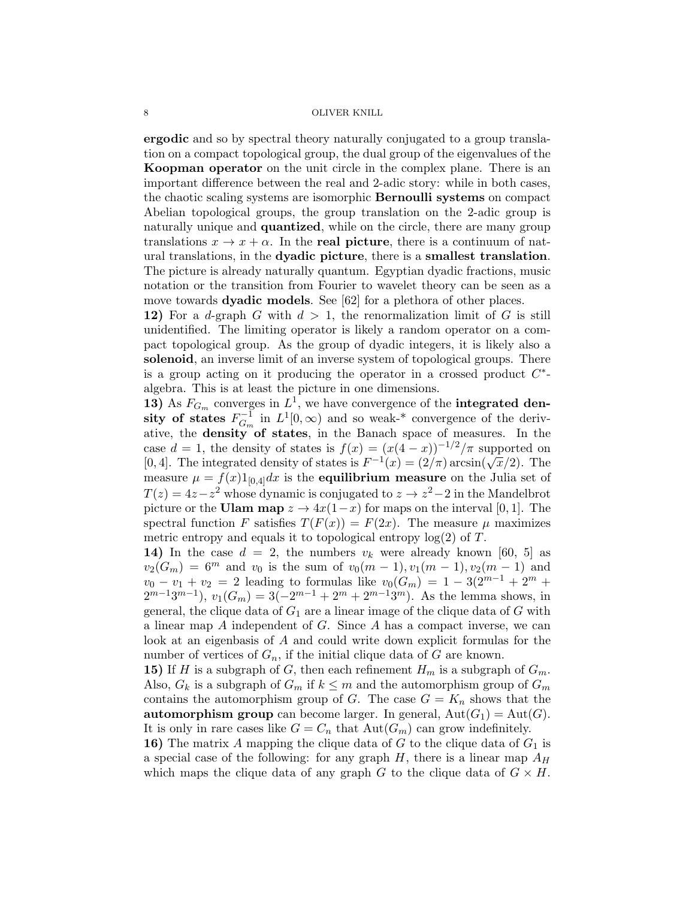ergodic and so by spectral theory naturally conjugated to a group translation on a compact topological group, the dual group of the eigenvalues of the Koopman operator on the unit circle in the complex plane. There is an important difference between the real and 2-adic story: while in both cases, the chaotic scaling systems are isomorphic Bernoulli systems on compact Abelian topological groups, the group translation on the 2-adic group is naturally unique and **quantized**, while on the circle, there are many group translations  $x \to x + \alpha$ . In the real picture, there is a continuum of natural translations, in the dyadic picture, there is a smallest translation. The picture is already naturally quantum. Egyptian dyadic fractions, music notation or the transition from Fourier to wavelet theory can be seen as a move towards **dyadic models**. See [62] for a plethora of other places.

12) For a d-graph G with  $d > 1$ , the renormalization limit of G is still unidentified. The limiting operator is likely a random operator on a compact topological group. As the group of dyadic integers, it is likely also a solenoid, an inverse limit of an inverse system of topological groups. There is a group acting on it producing the operator in a crossed product  $C^*$ algebra. This is at least the picture in one dimensions.

13) As  $F_{G_m}$  converges in  $L^1$ , we have convergence of the **integrated den**sity of states  $F^{-1}_{G}$  $G_m^{-1}$  in  $L^1[0,\infty)$  and so weak-\* convergence of the derivative, the **density** of states, in the Banach space of measures. In the case  $d = 1$ , the density of states is  $f(x) = (x(4-x))^{-1/2}/\pi$  supported on case  $a \equiv 1$ , the density of states is  $f(x) = (x(4-x))$  / The supported on  $[0, 4]$ . The integrated density of states is  $F^{-1}(x) = (2/\pi) \arcsin(\sqrt{x}/2)$ . The measure  $\mu = f(x)1_{[0,4]}dx$  is the **equilibrium measure** on the Julia set of  $T(z) = 4z - z^2$  whose dynamic is conjugated to  $z \to z^2 - 2$  in the Mandelbrot picture or the Ulam map  $z \to 4x(1-x)$  for maps on the interval [0, 1]. The spectral function F satisfies  $T(F(x)) = F(2x)$ . The measure  $\mu$  maximizes metric entropy and equals it to topological entropy  $log(2)$  of T.

14) In the case  $d = 2$ , the numbers  $v_k$  were already known [60, 5] as  $v_2(G_m) = 6^m$  and  $v_0$  is the sum of  $v_0(m-1), v_1(m-1), v_2(m-1)$  and  $v_0 - v_1 + v_2 = 2$  leading to formulas like  $v_0(G_m) = 1 - 3(2^{m-1} + 2^m + 1)$  $2^{m-1}3^{m-1}$ ,  $v_1(G_m) = 3(-2^{m-1} + 2^m + 2^{m-1}3^m)$ . As the lemma shows, in general, the clique data of  $G_1$  are a linear image of the clique data of  $G$  with a linear map A independent of G. Since A has a compact inverse, we can look at an eigenbasis of A and could write down explicit formulas for the number of vertices of  $G_n$ , if the initial clique data of G are known.

15) If H is a subgraph of G, then each refinement  $H_m$  is a subgraph of  $G_m$ . Also,  $G_k$  is a subgraph of  $G_m$  if  $k \leq m$  and the automorphism group of  $G_m$ contains the automorphism group of G. The case  $G = K_n$  shows that the **automorphism group** can become larger. In general,  $Aut(G_1) = Aut(G)$ . It is only in rare cases like  $G = C_n$  that  $Aut(G_m)$  can grow indefinitely.

16) The matrix A mapping the clique data of G to the clique data of  $G_1$  is a special case of the following: for any graph  $H$ , there is a linear map  $A_H$ which maps the clique data of any graph G to the clique data of  $G \times H$ .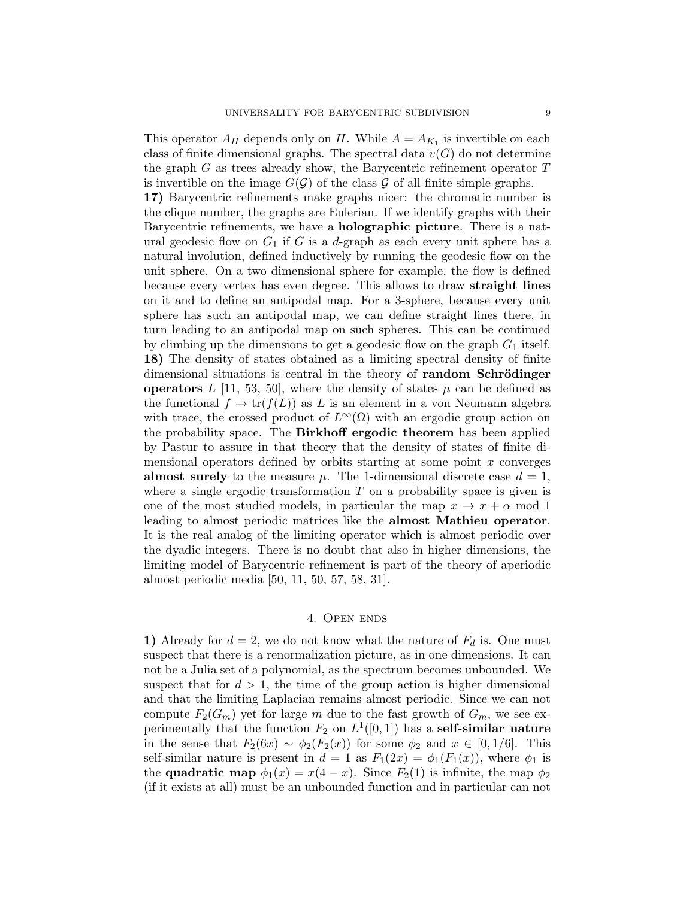This operator  $A_H$  depends only on H. While  $A = A_{K_1}$  is invertible on each class of finite dimensional graphs. The spectral data  $v(G)$  do not determine the graph  $G$  as trees already show, the Barycentric refinement operator  $T$ is invertible on the image  $G(\mathcal{G})$  of the class  $\mathcal G$  of all finite simple graphs. 17) Barycentric refinements make graphs nicer: the chromatic number is the clique number, the graphs are Eulerian. If we identify graphs with their Barycentric refinements, we have a holographic picture. There is a natural geodesic flow on  $G_1$  if G is a d-graph as each every unit sphere has a natural involution, defined inductively by running the geodesic flow on the unit sphere. On a two dimensional sphere for example, the flow is defined because every vertex has even degree. This allows to draw straight lines on it and to define an antipodal map. For a 3-sphere, because every unit sphere has such an antipodal map, we can define straight lines there, in turn leading to an antipodal map on such spheres. This can be continued by climbing up the dimensions to get a geodesic flow on the graph  $G_1$  itself. 18) The density of states obtained as a limiting spectral density of finite dimensional situations is central in the theory of **random Schrödinger** operators L [11, 53, 50], where the density of states  $\mu$  can be defined as the functional  $f \to \text{tr}(f(L))$  as L is an element in a von Neumann algebra with trace, the crossed product of  $L^{\infty}(\Omega)$  with an ergodic group action on the probability space. The Birkhoff ergodic theorem has been applied by Pastur to assure in that theory that the density of states of finite dimensional operators defined by orbits starting at some point  $x$  converges almost surely to the measure  $\mu$ . The 1-dimensional discrete case  $d = 1$ , where a single ergodic transformation  $T$  on a probability space is given is one of the most studied models, in particular the map  $x \to x + \alpha$  mod 1 leading to almost periodic matrices like the almost Mathieu operator. It is the real analog of the limiting operator which is almost periodic over the dyadic integers. There is no doubt that also in higher dimensions, the limiting model of Barycentric refinement is part of the theory of aperiodic almost periodic media [50, 11, 50, 57, 58, 31].

## 4. OPEN ENDS

1) Already for  $d = 2$ , we do not know what the nature of  $F_d$  is. One must suspect that there is a renormalization picture, as in one dimensions. It can not be a Julia set of a polynomial, as the spectrum becomes unbounded. We suspect that for  $d > 1$ , the time of the group action is higher dimensional and that the limiting Laplacian remains almost periodic. Since we can not compute  $F_2(G_m)$  yet for large m due to the fast growth of  $G_m$ , we see experimentally that the function  $F_2$  on  $L^1([0,1])$  has a **self-similar nature** in the sense that  $F_2(6x) \sim \phi_2(F_2(x))$  for some  $\phi_2$  and  $x \in [0, 1/6]$ . This self-similar nature is present in  $d = 1$  as  $F_1(2x) = \phi_1(F_1(x))$ , where  $\phi_1$  is the **quadratic map**  $\phi_1(x) = x(4-x)$ . Since  $F_2(1)$  is infinite, the map  $\phi_2$ (if it exists at all) must be an unbounded function and in particular can not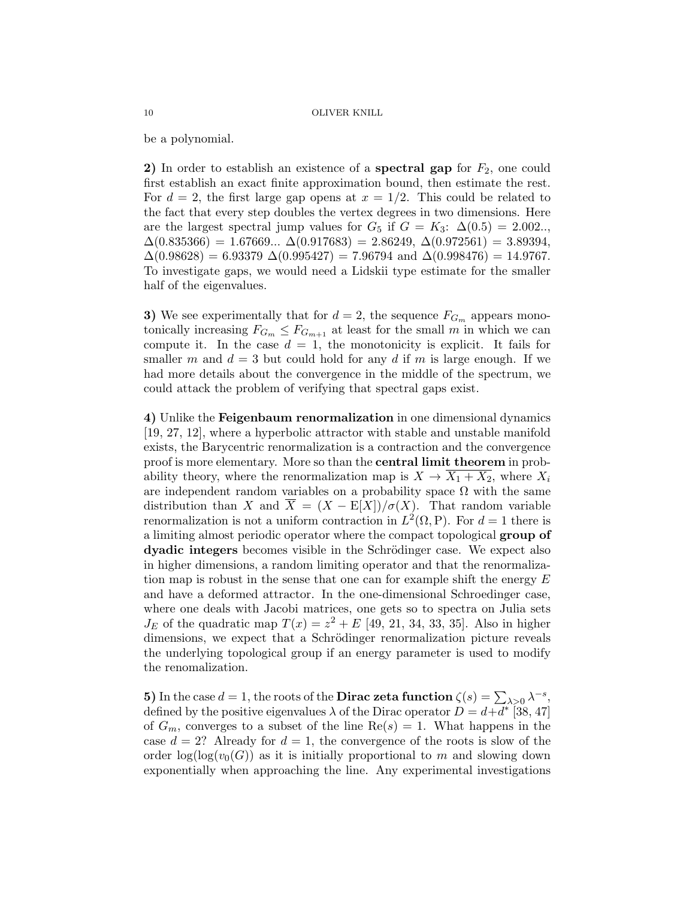be a polynomial.

2) In order to establish an existence of a **spectral gap** for  $F_2$ , one could first establish an exact finite approximation bound, then estimate the rest. For  $d = 2$ , the first large gap opens at  $x = 1/2$ . This could be related to the fact that every step doubles the vertex degrees in two dimensions. Here are the largest spectral jump values for  $G_5$  if  $G = K_3$ :  $\Delta(0.5) = 2.002...$  $\Delta(0.835366) = 1.67669... \Delta(0.917683) = 2.86249, \Delta(0.972561) = 3.89394,$  $\Delta(0.98628) = 6.93379 \Delta(0.995427) = 7.96794$  and  $\Delta(0.998476) = 14.9767$ . To investigate gaps, we would need a Lidskii type estimate for the smaller half of the eigenvalues.

3) We see experimentally that for  $d = 2$ , the sequence  $F_{G_m}$  appears monotonically increasing  $F_{G_m} \leq F_{G_{m+1}}$  at least for the small m in which we can compute it. In the case  $d = 1$ , the monotonicity is explicit. It fails for smaller m and  $d = 3$  but could hold for any d if m is large enough. If we had more details about the convergence in the middle of the spectrum, we could attack the problem of verifying that spectral gaps exist.

4) Unlike the Feigenbaum renormalization in one dimensional dynamics [19, 27, 12], where a hyperbolic attractor with stable and unstable manifold exists, the Barycentric renormalization is a contraction and the convergence proof is more elementary. More so than the central limit theorem in probability theory, where the renormalization map is  $X \to \overline{X_1 + X_2}$ , where  $X_i$ are independent random variables on a probability space  $\Omega$  with the same distribution than X and  $\overline{X} = (X - E[X])/\sigma(X)$ . That random variable renormalization is not a uniform contraction in  $L^2(\Omega, P)$ . For  $d = 1$  there is a limiting almost periodic operator where the compact topological group of dyadic integers becomes visible in the Schrödinger case. We expect also in higher dimensions, a random limiting operator and that the renormalization map is robust in the sense that one can for example shift the energy  $E$ and have a deformed attractor. In the one-dimensional Schroedinger case, where one deals with Jacobi matrices, one gets so to spectra on Julia sets  $J_E$  of the quadratic map  $T(x) = z^2 + E$  [49, 21, 34, 33, 35]. Also in higher dimensions, we expect that a Schrödinger renormalization picture reveals the underlying topological group if an energy parameter is used to modify the renomalization.

5) In the case  $d = 1$ , the roots of the **Dirac zeta function**  $\zeta(s) = \sum_{\lambda > 0} \lambda^{-s}$ , defined by the positive eigenvalues  $\lambda$  of the Dirac operator  $D = d + \overline{d^*}$  [38, 47] of  $G_m$ , converges to a subset of the line  $\text{Re}(s) = 1$ . What happens in the case  $d = 2$ ? Already for  $d = 1$ , the convergence of the roots is slow of the order  $\log(\log(v_0(G))$  as it is initially proportional to m and slowing down exponentially when approaching the line. Any experimental investigations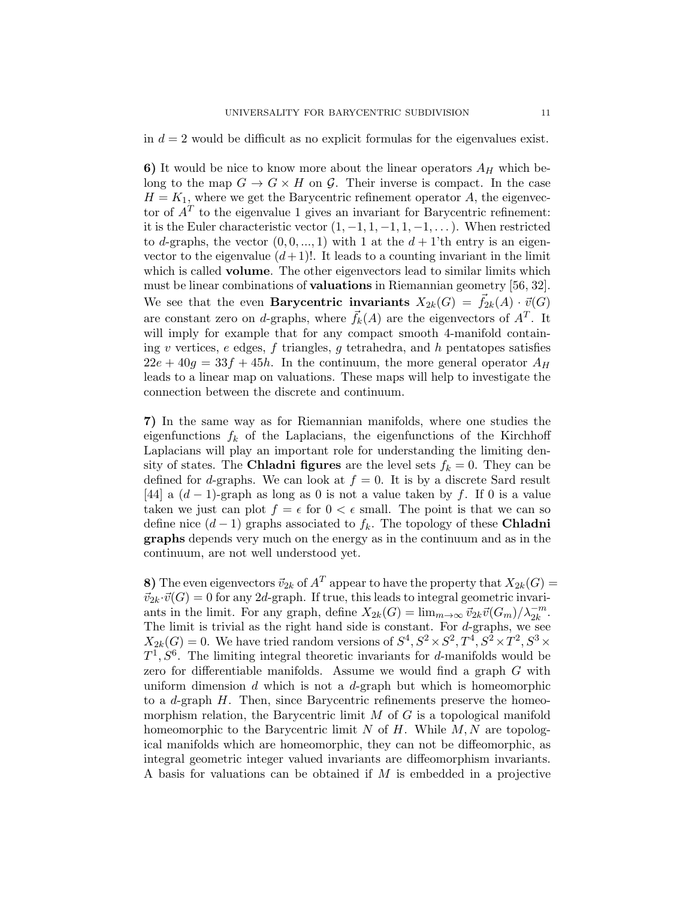in  $d = 2$  would be difficult as no explicit formulas for the eigenvalues exist.

6) It would be nice to know more about the linear operators  $A_H$  which belong to the map  $G \to G \times H$  on  $\mathcal{G}$ . Their inverse is compact. In the case  $H = K_1$ , where we get the Barycentric refinement operator A, the eigenvector of  $A<sup>T</sup>$  to the eigenvalue 1 gives an invariant for Barycentric refinement: it is the Euler characteristic vector  $(1, -1, 1, -1, 1, -1, ...)$ . When restricted to d-graphs, the vector  $(0, 0, ..., 1)$  with 1 at the  $d + 1$ 'th entry is an eigenvector to the eigenvalue  $(d+1)!$ . It leads to a counting invariant in the limit which is called **volume**. The other eigenvectors lead to similar limits which must be linear combinations of valuations in Riemannian geometry [56, 32]. We see that the even **Barycentric invariants**  $X_{2k}(G) = \bar{f}_{2k}(A) \cdot \vec{v}(G)$ are constant zero on d-graphs, where  $\vec{f}_k(A)$  are the eigenvectors of  $A<sup>T</sup>$ . It will imply for example that for any compact smooth 4-manifold containing v vertices,  $e$  edges,  $f$  triangles,  $g$  tetrahedra, and  $h$  pentatopes satisfies  $22e + 40g = 33f + 45h$ . In the continuum, the more general operator  $A_H$ leads to a linear map on valuations. These maps will help to investigate the connection between the discrete and continuum.

7) In the same way as for Riemannian manifolds, where one studies the eigenfunctions  $f_k$  of the Laplacians, the eigenfunctions of the Kirchhoff Laplacians will play an important role for understanding the limiting density of states. The **Chladni figures** are the level sets  $f_k = 0$ . They can be defined for d-graphs. We can look at  $f = 0$ . It is by a discrete Sard result [44] a  $(d-1)$ -graph as long as 0 is not a value taken by f. If 0 is a value taken we just can plot  $f = \epsilon$  for  $0 < \epsilon$  small. The point is that we can so define nice  $(d-1)$  graphs associated to  $f_k$ . The topology of these **Chladni** graphs depends very much on the energy as in the continuum and as in the continuum, are not well understood yet.

8) The even eigenvectors  $\vec{v}_{2k}$  of  $A^T$  appear to have the property that  $X_{2k}(G)$  =  $\vec{v}_{2k} \cdot \vec{v}(G) = 0$  for any 2d-graph. If true, this leads to integral geometric invariants in the limit. For any graph, define  $X_{2k}(G) = \lim_{m \to \infty} \vec{v}_{2k}\vec{v}(G_m)/\lambda_{2k}^{-m}$ . The limit is trivial as the right hand side is constant. For  $d$ -graphs, we see  $X_{2k}(G) = 0$ . We have tried random versions of  $S^4$ ,  $S^2 \times S^2$ ,  $T^4$ ,  $S^2 \times T^2$ ,  $S^3 \times T^3$  $T^1, S^6$ . The limiting integral theoretic invariants for d-manifolds would be zero for differentiable manifolds. Assume we would find a graph G with uniform dimension  $d$  which is not a  $d$ -graph but which is homeomorphic to a d-graph  $H$ . Then, since Barycentric refinements preserve the homeomorphism relation, the Barycentric limit  $M$  of  $G$  is a topological manifold homeomorphic to the Barycentric limit  $N$  of  $H$ . While  $M, N$  are topological manifolds which are homeomorphic, they can not be diffeomorphic, as integral geometric integer valued invariants are diffeomorphism invariants. A basis for valuations can be obtained if M is embedded in a projective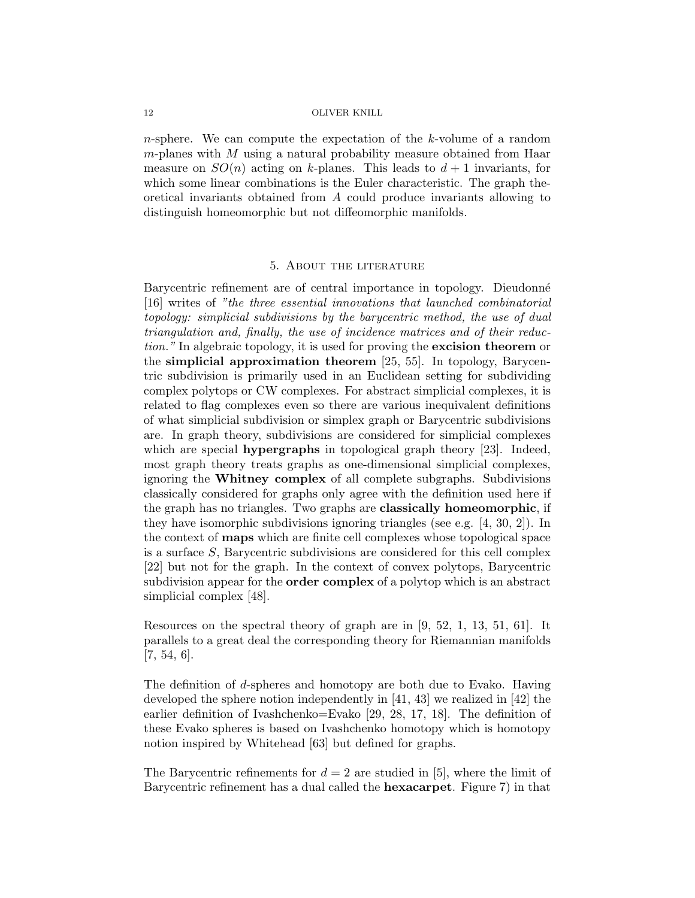n-sphere. We can compute the expectation of the k-volume of a random  $m$ -planes with  $M$  using a natural probability measure obtained from Haar measure on  $SO(n)$  acting on k-planes. This leads to  $d+1$  invariants, for which some linear combinations is the Euler characteristic. The graph theoretical invariants obtained from A could produce invariants allowing to distinguish homeomorphic but not diffeomorphic manifolds.

#### 5. About the literature

Barycentric refinement are of central importance in topology. Dieudonné [16] writes of "the three essential innovations that launched combinatorial topology: simplicial subdivisions by the barycentric method, the use of dual triangulation and, finally, the use of incidence matrices and of their reduction." In algebraic topology, it is used for proving the **excision theorem** or the simplicial approximation theorem [25, 55]. In topology, Barycentric subdivision is primarily used in an Euclidean setting for subdividing complex polytops or CW complexes. For abstract simplicial complexes, it is related to flag complexes even so there are various inequivalent definitions of what simplicial subdivision or simplex graph or Barycentric subdivisions are. In graph theory, subdivisions are considered for simplicial complexes which are special **hypergraphs** in topological graph theory [23]. Indeed, most graph theory treats graphs as one-dimensional simplicial complexes, ignoring the Whitney complex of all complete subgraphs. Subdivisions classically considered for graphs only agree with the definition used here if the graph has no triangles. Two graphs are classically homeomorphic, if they have isomorphic subdivisions ignoring triangles (see e.g. [4, 30, 2]). In the context of maps which are finite cell complexes whose topological space is a surface  $S$ , Barycentric subdivisions are considered for this cell complex [22] but not for the graph. In the context of convex polytops, Barycentric subdivision appear for the order complex of a polytop which is an abstract simplicial complex [48].

Resources on the spectral theory of graph are in [9, 52, 1, 13, 51, 61]. It parallels to a great deal the corresponding theory for Riemannian manifolds [7, 54, 6].

The definition of d-spheres and homotopy are both due to Evako. Having developed the sphere notion independently in [41, 43] we realized in [42] the earlier definition of Ivashchenko=Evako [29, 28, 17, 18]. The definition of these Evako spheres is based on Ivashchenko homotopy which is homotopy notion inspired by Whitehead [63] but defined for graphs.

The Barycentric refinements for  $d = 2$  are studied in [5], where the limit of Barycentric refinement has a dual called the hexacarpet. Figure 7) in that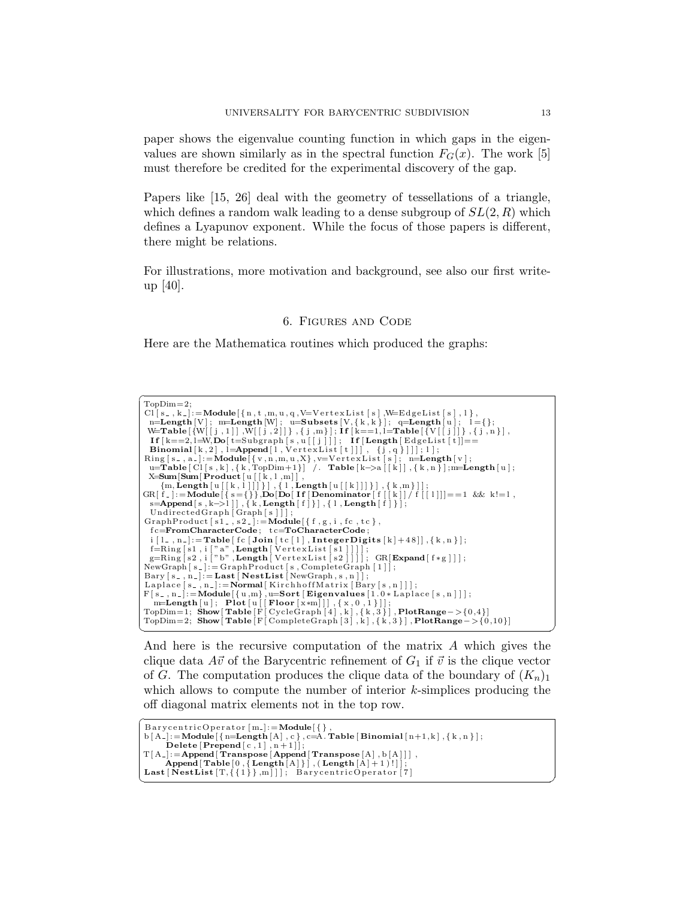paper shows the eigenvalue counting function in which gaps in the eigenvalues are shown similarly as in the spectral function  $F_G(x)$ . The work [5] must therefore be credited for the experimental discovery of the gap.

Papers like [15, 26] deal with the geometry of tessellations of a triangle, which defines a random walk leading to a dense subgroup of  $SL(2, R)$  which defines a Lyapunov exponent. While the focus of those papers is different, there might be relations.

For illustrations, more motivation and background, see also our first writeup [40].

## 6. Figures and Code

Here are the Mathematica routines which produced the graphs:

| $TopDim=2$ :                                                                                                                                                                                                                                                                                                                                                                           |
|----------------------------------------------------------------------------------------------------------------------------------------------------------------------------------------------------------------------------------------------------------------------------------------------------------------------------------------------------------------------------------------|
| Cl $[s_-, k_-]$ : = Module $\{n, t, m, u, q, V=VertexList[s], W=EdgeList[s], 1\},\$                                                                                                                                                                                                                                                                                                    |
| $n=Length[V];$ m=Length [W]; u=Subsets [V, {k, k}]; q=Length [u]; 1={};                                                                                                                                                                                                                                                                                                                |
| W=Table $\{W[[j,1]]$ , $W[[j,2]]\}$ , $\{j,m\}$ ; $If [k=-1,1]=$ Table $\{V[[j]]\}$ , $\{j,n\}$ ,                                                                                                                                                                                                                                                                                      |
| If $k == 2, l = W, Do[t = Subgraph[s, u[[j]]];$ If $Length[EdgeList[t]] ==$                                                                                                                                                                                                                                                                                                            |
| <b>Binomial</b> [k, 2], $l =$ <b>Append</b> [l, Vertex List [t]]], {j, q} ]]; 1];                                                                                                                                                                                                                                                                                                      |
| Ring $[s_-, a_-]$ : = Module $\{\{v, n, m, u, X\}, v=V$ ertex List $[s]$ ; n=Length $[v]$ ;                                                                                                                                                                                                                                                                                            |
| u=Table $\lceil C \rceil$ s, k $\lceil K \rceil$ , $\lceil k \rceil$ , TopDim+1 $\lceil k \rceil$ and $\lceil k \rceil$ and $\lceil k \rceil$ and $\lceil k \rceil$ , $\lceil k \rceil$ , $\lceil k \rceil$ , $\lceil k \rceil$ , $\lceil k \rceil$ , $\lceil k \rceil$ , $\lceil k \rceil$ , $\lceil k \rceil$ , $\lceil k \rceil$ , $\lceil k \rceil$ , $\lceil k \rceil$ , $\lceil$ |
| $X = Sum[Sum[Product[u[[k, l, m]]],$                                                                                                                                                                                                                                                                                                                                                   |
| ${m, Length[u[[k, 1]]]}$ , { $l, Length[u[[k]]]}$ , { $k, m$ }];                                                                                                                                                                                                                                                                                                                       |
| $GR[f_+] := Module[f_s = \{\}\]$ , $Do[Do[If[Denominator[f][k]]/f][1]] == 1$ & k!=1,                                                                                                                                                                                                                                                                                                   |
| s=Append $[s, k->1]$ , {k, Length $[f]$ }, {l, Length $[f]$ };                                                                                                                                                                                                                                                                                                                         |
| UndirectedGraph $[Graph[s]]$ ;                                                                                                                                                                                                                                                                                                                                                         |
| GraphProduct [s1_, s2_]:= $\text{Module}[\{f, g, i, fc, tc\},]$                                                                                                                                                                                                                                                                                                                        |
| $fc = \text{FromCharacterCode}$ ; $tc = \text{ToCharacterCode}$ ;                                                                                                                                                                                                                                                                                                                      |
| $i \in \{1, n\}$ :=Table $\lceil f c \rceil$ Join $\lceil t c \rceil$   , Integer Digits $\lceil k \rceil + 48 \rceil$ , $\{k, n\}$ ;                                                                                                                                                                                                                                                  |
| $f=Ring[s1, i ["a", Length [VertexList[s1]]];$                                                                                                                                                                                                                                                                                                                                         |
| $g=Ring[s2, i]^n b^n$ , Length   Vertex List [s2]]]; GR[Expand [f * g]];                                                                                                                                                                                                                                                                                                               |
| $NewGraph[s_-]:=GraphProduct[s, CompleteGraph[1]];$                                                                                                                                                                                                                                                                                                                                    |
| Bary $[s_-, n_-]$ : = Last [NestList [NewGraph, s, n ] ];                                                                                                                                                                                                                                                                                                                              |
| Laplace $[s_-, n_-]$ : = Normal   Kirchhoff Matrix   Bary $[s_-, n_-]$   ;                                                                                                                                                                                                                                                                                                             |
| $F[s_-, n_-]: = \text{Module}[\{u, m\}, u = \text{Sort}[\text{Eigenvalues}[1.0 * \text{Laplace}[s, n]]];$                                                                                                                                                                                                                                                                              |
| $m = Length[u]; Plot[u[[Flow[x*m]]], {x, 0, 1}]];$                                                                                                                                                                                                                                                                                                                                     |
| TopDim=1; Show $\text{Table} [F[\text{CycleGraph}[4], k], \{k, 3\}]$ , PlotRange->{0,4}]                                                                                                                                                                                                                                                                                               |
| TopDim=2; Show $\lceil \text{Table} \rceil$ Complete Graph $\lceil 3 \rceil$ , k $\lceil$ , $\{k, 3\} \rceil$ , Plot Range $\lceil 0, 10 \rceil$                                                                                                                                                                                                                                       |
|                                                                                                                                                                                                                                                                                                                                                                                        |

And here is the recursive computation of the matrix A which gives the clique data  $A\vec{v}$  of the Barycentric refinement of  $G_1$  if  $\vec{v}$  is the clique vector of G. The computation produces the clique data of the boundary of  $(K_n)_1$ which allows to compute the number of interior  $k$ -simplices producing the off diagonal matrix elements not in the top row.

```
\sqrt{\text{BarycentricOperator [m]} := \text{Module}[\{\},\}b [ A_- ] := Module [ \{ n = Length [A], c \}, c = A.\text{Table [Binomial } [n+1,k], \{ k, n \} ] ;<br>Delete [Prepend [c,1], n+1] |;T[A_{-}]: = Append [ Transpose [Append [ Transpose [A], b [A] ]],
\mathsf{Append}[\mathsf{Table}[0\,,\{\mathsf{Length}[A]\}]\,,(\mathsf{Length}[A]+1))!]]\}; Last [\mathsf{NestList[T,\{1\}\},m]]\,; \mathsf{BarycentricOperator[7]}✝ ✆
```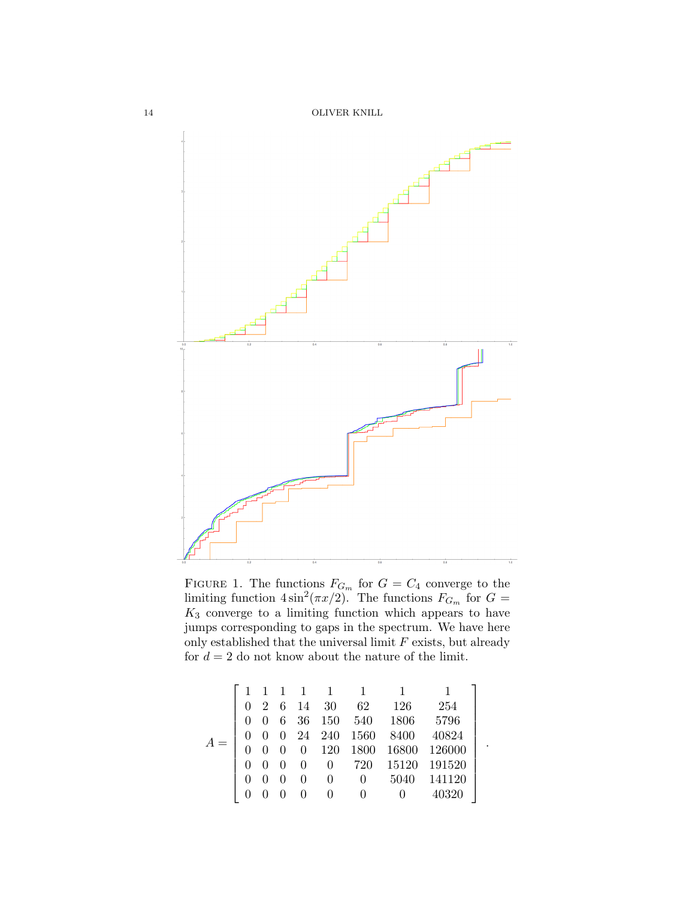

FIGURE 1. The functions  $F_{G_m}$  for  $G = C_4$  converge to the limiting function  $4\sin^2(\pi x/2)$ . The functions  $F_{G_m}$  for  $G =$  $K_3$  converge to a limiting function which appears to have jumps corresponding to gaps in the spectrum. We have here only established that the universal limit  $F$  exists, but already for  $d = 2$  do not know about the nature of the limit.

|  |          | 1 1 1          |                  | $\blacksquare$ |                          |                    |                    |  |
|--|----------|----------------|------------------|----------------|--------------------------|--------------------|--------------------|--|
|  |          |                | $0 \t2 \t6 \t14$ | 30             | 62                       | 126                | 254                |  |
|  | $\theta$ |                | 6 36             |                | $150\quad 540\quad 1806$ |                    | 5796               |  |
|  | $\theta$ |                |                  |                | 0 24 240 1560            | 8400               | 40824              |  |
|  |          | $\overline{0}$ |                  |                |                          | $0$ 120 1800 16800 | 126000             |  |
|  | $\theta$ | $\theta$       | $\Omega$         |                |                          |                    | 0 720 15120 191520 |  |
|  |          | - 0            | $\theta$         | $\Omega$       | $\hspace{0.6cm}0$        | 5040               | 141120             |  |
|  |          |                |                  |                | 0                        |                    | 40320              |  |

.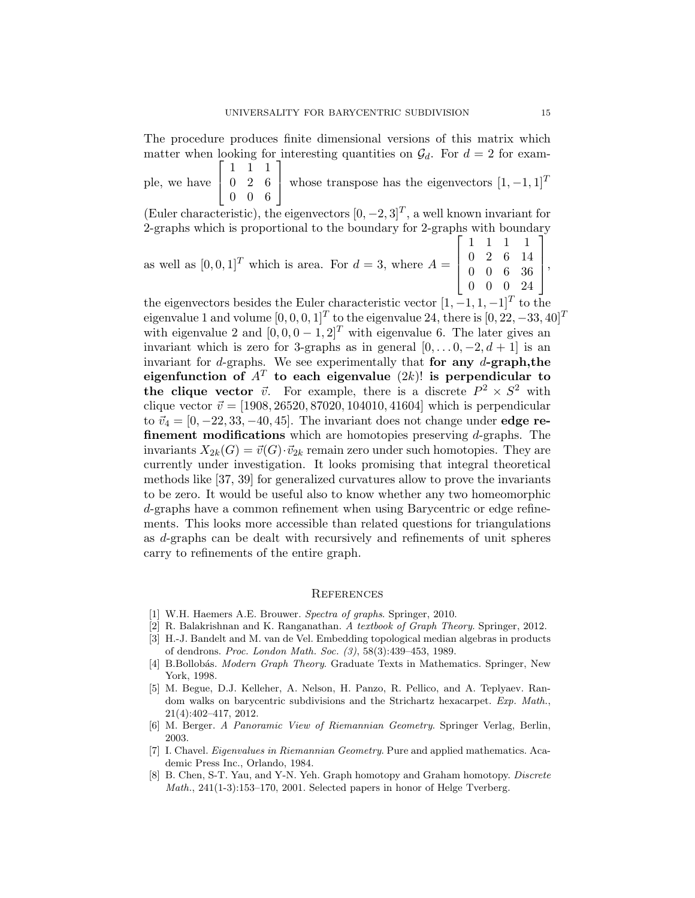The procedure produces finite dimensional versions of this matrix which matter when looking for interesting quantities on  $\mathcal{G}_d$ . For  $d = 2$  for exam- $\sqrt{ }$  $\begin{bmatrix} 1 & 1 & 1 \end{bmatrix}$ 1

ple, we have  $\begin{array}{|c|c|c|c|c|c|} \hline 0 & 2 & 6 \\ \hline 0 & 0 & 6 \\\hline \end{array}$ 0 0 6 whose transpose has the eigenvectors  $[1, -1, 1]^T$ 

(Euler characteristic), the eigenvectors  $[0, -2, 3]^T$ , a well known invariant for 2-graphs which is proportional to the boundary for 2-graphs with boundary

as well as  $[0, 0, 1]^T$  which is area. For  $d = 3$ , where  $A =$  $\sqrt{ }$  $\begin{matrix} \phantom{-} \end{matrix}$ 1 1 1 1 0 2 6 14 0 0 6 36 0 0 0 24 1  $\begin{matrix} \phantom{-} \end{matrix}$ 

the eigenvectors besides the Euler characteristic vector  $[1, -1, 1, -1]^T$  to the eigenvalue 1 and volume  $[0, 0, 0, 1]^T$  to the eigenvalue 24, there is  $[0, 22, -33, 40]^T$ with eigenvalue 2 and  $[0, 0, 0, -1, 2]^T$  with eigenvalue 6. The later gives an invariant which is zero for 3-graphs as in general  $[0, \ldots 0, -2, d+1]$  is an invariant for  $d$ -graphs. We see experimentally that for any  $d$ -graph, the eigenfunction of  $A<sup>T</sup>$  to each eigenvalue  $(2k)!$  is perpendicular to the clique vector  $\vec{v}$ . For example, there is a discrete  $P^2 \times S^2$  with clique vector  $\vec{v} = [1908, 26520, 87020, 104010, 41604]$  which is perpendicular to  $\vec{v}_4 = [0, -22, 33, -40, 45]$ . The invariant does not change under **edge re**finement modifications which are homotopies preserving d-graphs. The invariants  $X_{2k}(G) = \vec{v}(G) \cdot \vec{v}_{2k}$  remain zero under such homotopies. They are currently under investigation. It looks promising that integral theoretical methods like [37, 39] for generalized curvatures allow to prove the invariants to be zero. It would be useful also to know whether any two homeomorphic d-graphs have a common refinement when using Barycentric or edge refinements. This looks more accessible than related questions for triangulations as d-graphs can be dealt with recursively and refinements of unit spheres carry to refinements of the entire graph.

#### **REFERENCES**

- [1] W.H. Haemers A.E. Brouwer. Spectra of graphs. Springer, 2010.
- [2] R. Balakrishnan and K. Ranganathan. A textbook of Graph Theory. Springer, 2012.
- [3] H.-J. Bandelt and M. van de Vel. Embedding topological median algebras in products of dendrons. Proc. London Math. Soc. (3), 58(3):439–453, 1989.
- [4] B.Bollobás. *Modern Graph Theory*. Graduate Texts in Mathematics. Springer, New York, 1998.
- [5] M. Begue, D.J. Kelleher, A. Nelson, H. Panzo, R. Pellico, and A. Teplyaev. Random walks on barycentric subdivisions and the Strichartz hexacarpet. Exp. Math., 21(4):402–417, 2012.
- [6] M. Berger. A Panoramic View of Riemannian Geometry. Springer Verlag, Berlin, 2003.
- [7] I. Chavel. Eigenvalues in Riemannian Geometry. Pure and applied mathematics. Academic Press Inc., Orlando, 1984.
- [8] B. Chen, S-T. Yau, and Y-N. Yeh. Graph homotopy and Graham homotopy. Discrete Math., 241(1-3):153–170, 2001. Selected papers in honor of Helge Tverberg.

,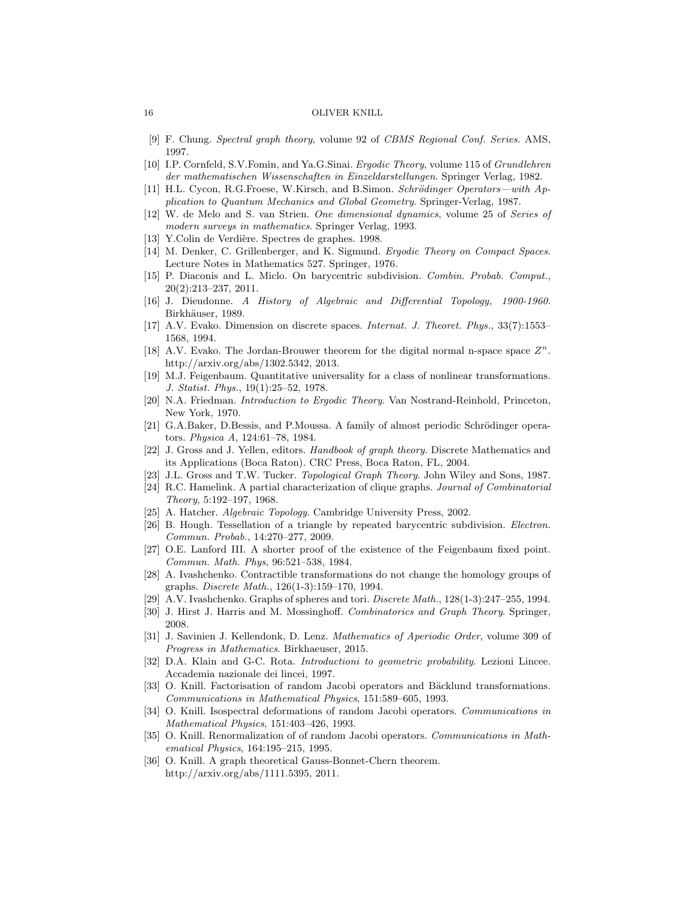- [9] F. Chung. Spectral graph theory, volume 92 of CBMS Regional Conf. Series. AMS, 1997.
- [10] I.P. Cornfeld, S.V.Fomin, and Ya.G.Sinai. Ergodic Theory, volume 115 of Grundlehren der mathematischen Wissenschaften in Einzeldarstellungen. Springer Verlag, 1982.
- [11] H.L. Cycon, R.G.Froese, W.Kirsch, and B.Simon. Schrödinger Operators—with Application to Quantum Mechanics and Global Geometry. Springer-Verlag, 1987.
- [12] W. de Melo and S. van Strien. One dimensional dynamics, volume 25 of Series of modern surveys in mathematics. Springer Verlag, 1993.
- [13] Y.Colin de Verdière. Spectres de graphes. 1998.
- [14] M. Denker, C. Grillenberger, and K. Sigmund. Ergodic Theory on Compact Spaces. Lecture Notes in Mathematics 527. Springer, 1976.
- [15] P. Diaconis and L. Miclo. On barycentric subdivision. Combin. Probab. Comput., 20(2):213–237, 2011.
- [16] J. Dieudonne. A History of Algebraic and Differential Topology, 1900-1960. Birkhäuser, 1989.
- [17] A.V. Evako. Dimension on discrete spaces. Internat. J. Theoret. Phys., 33(7):1553– 1568, 1994.
- [18] A.V. Evako. The Jordan-Brouwer theorem for the digital normal n-space space  $Z<sup>n</sup>$ . http://arxiv.org/abs/1302.5342, 2013.
- [19] M.J. Feigenbaum. Quantitative universality for a class of nonlinear transformations. J. Statist. Phys., 19(1):25–52, 1978.
- [20] N.A. Friedman. Introduction to Ergodic Theory. Van Nostrand-Reinhold, Princeton, New York, 1970.
- [21] G.A.Baker, D.Bessis, and P.Moussa. A family of almost periodic Schrödinger operators. Physica A, 124:61–78, 1984.
- [22] J. Gross and J. Yellen, editors. Handbook of graph theory. Discrete Mathematics and its Applications (Boca Raton). CRC Press, Boca Raton, FL, 2004.
- [23] J.L. Gross and T.W. Tucker. Topological Graph Theory. John Wiley and Sons, 1987.
- [24] R.C. Hamelink. A partial characterization of clique graphs. Journal of Combinatorial Theory, 5:192–197, 1968.
- [25] A. Hatcher. Algebraic Topology. Cambridge University Press, 2002.
- [26] B. Hough. Tessellation of a triangle by repeated barycentric subdivision. Electron. Commun. Probab., 14:270–277, 2009.
- [27] O.E. Lanford III. A shorter proof of the existence of the Feigenbaum fixed point. Commun. Math. Phys, 96:521–538, 1984.
- [28] A. Ivashchenko. Contractible transformations do not change the homology groups of graphs. Discrete Math., 126(1-3):159–170, 1994.
- [29] A.V. Ivashchenko. Graphs of spheres and tori. Discrete Math., 128(1-3):247–255, 1994.
- [30] J. Hirst J. Harris and M. Mossinghoff. Combinatorics and Graph Theory. Springer, 2008.
- [31] J. Savinien J. Kellendonk, D. Lenz. Mathematics of Aperiodic Order, volume 309 of Progress in Mathematics. Birkhaeuser, 2015.
- [32] D.A. Klain and G-C. Rota. *Introductioni to geometric probability*. Lezioni Lincee. Accademia nazionale dei lincei, 1997.
- [33] O. Knill. Factorisation of random Jacobi operators and Bäcklund transformations. Communications in Mathematical Physics, 151:589–605, 1993.
- [34] O. Knill. Isospectral deformations of random Jacobi operators. Communications in Mathematical Physics, 151:403–426, 1993.
- [35] O. Knill. Renormalization of of random Jacobi operators. Communications in Mathematical Physics, 164:195–215, 1995.
- [36] O. Knill. A graph theoretical Gauss-Bonnet-Chern theorem. http://arxiv.org/abs/1111.5395, 2011.